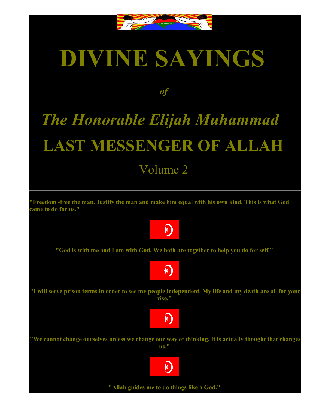

## **DIVINE SAYINGS**

## *of*

## *The Honorable Elijah Muhammad* **LAST MESSENGER OF ALLAH** Volume 2

**"Freedom -free the man. Justify the man and make him equal with his own kind. This is what God came to do for us."**



**"God is with me and I am with God. We both are together to help you do for self."**



**"I will serve prison terms in order to see my people independent. My life and my death are all for your rise."**



**"We cannot change ourselves unless we change our way of thinking. It is actually thought that changes us."**



**"Allah guides me to do things like a God."**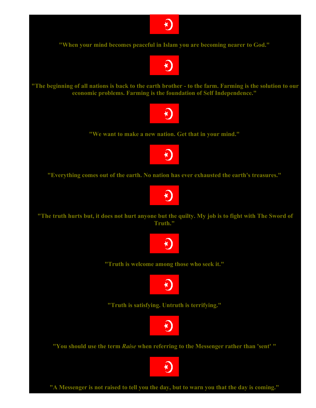

**"When your mind becomes peaceful in Islam you are becoming nearer to God."**



**"The beginning of all nations is back to the earth brother - to the farm. Farming is the solution to our economic problems. Farming is the foundation of Self Independence."**



**"We want to make a new nation. Get that in your mind."**



**"Everything comes out of the earth. No nation has ever exhausted the earth's treasures."**



**"The truth hurts but, it does not hurt anyone but the quilty. My job is to fight with The Sword of Truth."**



**"Truth is welcome among those who seek it."**



**"Truth is satisfying. Untruth is terrifying."**



**"You should use the term** *Raise* **when referring to the Messenger rather than 'sent' "**

K)

**"A Messenger is not raised to tell you the day, but to warn you that the day is coming."**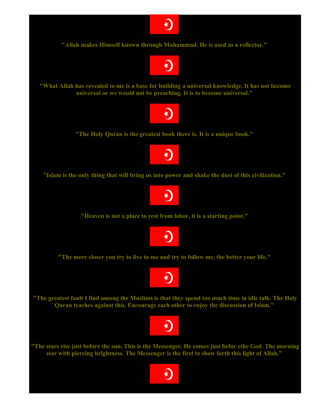

**"Allah makes Himself known through Muhammad. He is used as a reflector."**



**"What Allah has revealed to me is a base for building a universal knowledge. It has not become universal or we would not be preaching. It is to become universal."**



**"The Holy Quran is the greatest book there is. It is a unique book."**



**"Islam is the only thing that will bring us into power and shake the dust of this civilization."**



**"Heaven is not a place to rest from labor, it is a starting point."**



**"The more closer you try to live to me and try to follow me, the better your life."**



**"The greatest fault I find among the Muslims is that they spend too much time in idle talk. The Holy Quran teaches against this. Encourage each other to enjoy the discussion of Islam."**



**"The stars rise just before the sun. This is the Messenger. He comes just befor ethe God. The morning star with piercing brightness. The Messenger is the first to show forth this light of Allah."**

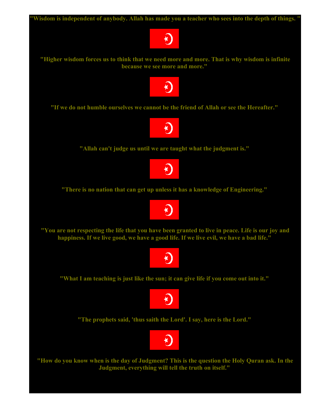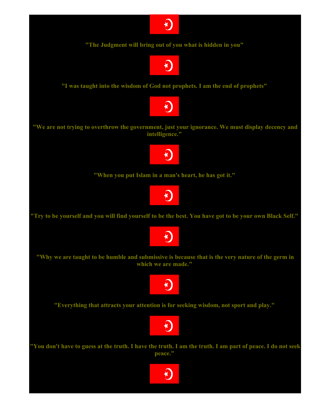

**"The Judgment will bring out of you what is hidden in you"**



**"I was taught into the wisdom of God not prophets. I am the end of prophets"**



**"We are not trying to overthrow the government, just your ignorance. We must display decency and intelligence."**



**"When you put Islam in a man's heart, he has got it."**



**"Try to be yourself and you will find yourself to be the best. You have got to be your own Black Self."**



**"Why we are taught to be humble and submissive is because that is the very nature of the germ in which we are made."**



**"Everything that attracts your attention is for seeking wisdom, not sport and play."**



**"You don't have to guess at the truth. I have the truth. I am the truth. I am part of peace. I do not seek peace."**

<u>K)</u>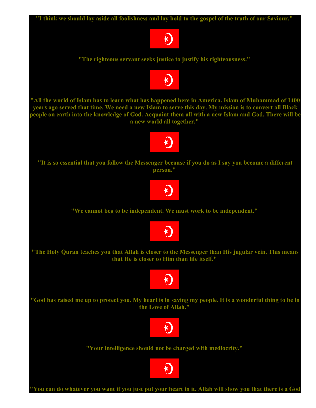

**"You can do whatever you want if you just put your heart in it. Allah will show you that there is a God**